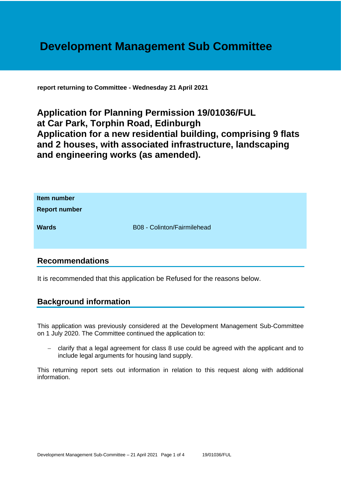# **Development Management Sub Committee**

**report returning to Committee - Wednesday 21 April 2021**

**Application for Planning Permission 19/01036/FUL at Car Park, Torphin Road, Edinburgh Application for a new residential building, comprising 9 flats and 2 houses, with associated infrastructure, landscaping and engineering works (as amended).**

| Item number<br><b>Report number</b> |                             |
|-------------------------------------|-----------------------------|
| <b>Wards</b>                        | B08 - Colinton/Fairmilehead |

## **Recommendations**

It is recommended that this application be Refused for the reasons below.

## **Background information**

This application was previously considered at the Development Management Sub-Committee on 1 July 2020. The Committee continued the application to:

− clarify that a legal agreement for class 8 use could be agreed with the applicant and to include legal arguments for housing land supply.

This returning report sets out information in relation to this request along with additional information.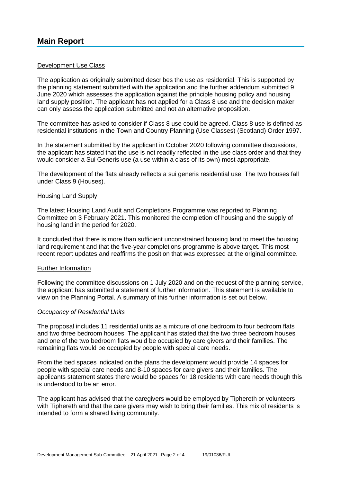### Development Use Class

The application as originally submitted describes the use as residential. This is supported by the planning statement submitted with the application and the further addendum submitted 9 June 2020 which assesses the application against the principle housing policy and housing land supply position. The applicant has not applied for a Class 8 use and the decision maker can only assess the application submitted and not an alternative proposition.

The committee has asked to consider if Class 8 use could be agreed. Class 8 use is defined as residential institutions in the Town and Country Planning (Use Classes) (Scotland) Order 1997.

In the statement submitted by the applicant in October 2020 following committee discussions, the applicant has stated that the use is not readily reflected in the use class order and that they would consider a Sui Generis use (a use within a class of its own) most appropriate.

The development of the flats already reflects a sui generis residential use. The two houses fall under Class 9 (Houses).

#### Housing Land Supply

The latest Housing Land Audit and Completions Programme was reported to Planning Committee on 3 February 2021. This monitored the completion of housing and the supply of housing land in the period for 2020.

It concluded that there is more than sufficient unconstrained housing land to meet the housing land requirement and that the five-year completions programme is above target. This most recent report updates and reaffirms the position that was expressed at the original committee.

#### Further Information

Following the committee discussions on 1 July 2020 and on the request of the planning service, the applicant has submitted a statement of further information. This statement is available to view on the Planning Portal. A summary of this further information is set out below.

#### *Occupancy of Residential Units*

The proposal includes 11 residential units as a mixture of one bedroom to four bedroom flats and two three bedroom houses. The applicant has stated that the two three bedroom houses and one of the two bedroom flats would be occupied by care givers and their families. The remaining flats would be occupied by people with special care needs.

From the bed spaces indicated on the plans the development would provide 14 spaces for people with special care needs and 8-10 spaces for care givers and their families. The applicants statement states there would be spaces for 18 residents with care needs though this is understood to be an error.

The applicant has advised that the caregivers would be employed by Tiphereth or volunteers with Tiphereth and that the care givers may wish to bring their families. This mix of residents is intended to form a shared living community.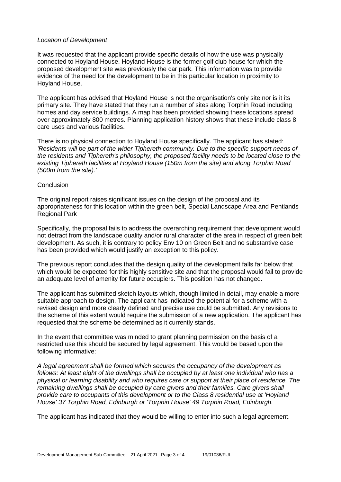### *Location of Development*

It was requested that the applicant provide specific details of how the use was physically connected to Hoyland House. Hoyland House is the former golf club house for which the proposed development site was previously the car park. This information was to provide evidence of the need for the development to be in this particular location in proximity to Hoyland House.

The applicant has advised that Hoyland House is not the organisation's only site nor is it its primary site. They have stated that they run a number of sites along Torphin Road including homes and day service buildings. A map has been provided showing these locations spread over approximately 800 metres. Planning application history shows that these include class 8 care uses and various facilities.

There is no physical connection to Hoyland House specifically. The applicant has stated: *'Residents will be part of the wider Tiphereth community. Due to the specific support needs of the residents and Tiphereth's philosophy, the proposed facility needs to be located close to the existing Tiphereth facilities at Hoyland House (150m from the site) and along Torphin Road (500m from the site).'*

#### **Conclusion**

The original report raises significant issues on the design of the proposal and its appropriateness for this location within the green belt, Special Landscape Area and Pentlands Regional Park

Specifically, the proposal fails to address the overarching requirement that development would not detract from the landscape quality and/or rural character of the area in respect of green belt development. As such, it is contrary to policy Env 10 on Green Belt and no substantive case has been provided which would justify an exception to this policy.

The previous report concludes that the design quality of the development falls far below that which would be expected for this highly sensitive site and that the proposal would fail to provide an adequate level of amenity for future occupiers. This position has not changed.

The applicant has submitted sketch layouts which, though limited in detail, may enable a more suitable approach to design. The applicant has indicated the potential for a scheme with a revised design and more clearly defined and precise use could be submitted. Any revisions to the scheme of this extent would require the submission of a new application. The applicant has requested that the scheme be determined as it currently stands.

In the event that committee was minded to grant planning permission on the basis of a restricted use this should be secured by legal agreement. This would be based upon the following informative:

*A legal agreement shall be formed which secures the occupancy of the development as follows: At least eight of the dwellings shall be occupied by at least one individual who has a physical or learning disability and who requires care or support at their place of residence. The remaining dwellings shall be occupied by care givers and their families. Care givers shall provide care to occupants of this development or to the Class 8 residential use at 'Hoyland House' 37 Torphin Road, Edinburgh or 'Torphin House' 49 Torphin Road, Edinburgh.*

The applicant has indicated that they would be willing to enter into such a legal agreement.